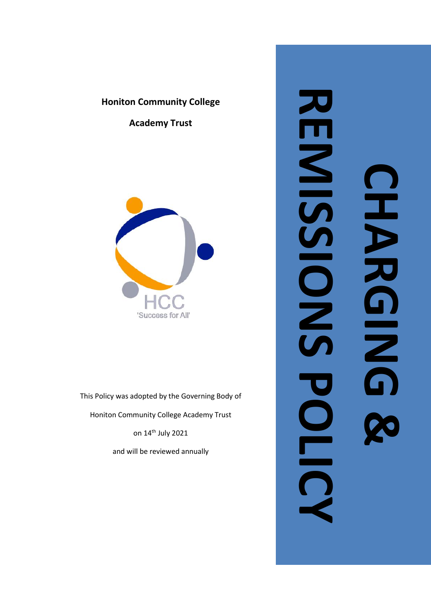# **Honiton Community College**

**Academy Trust**



This Policy was adopted by the Governing Body of

Honiton Community College Academy Trust

on 14<sup>th</sup> July 2021

and will be reviewed annually

# **REMISSIONS** RENES<br>SOLS **CHARGING &**  コンカロニュー **DUNN POLICY**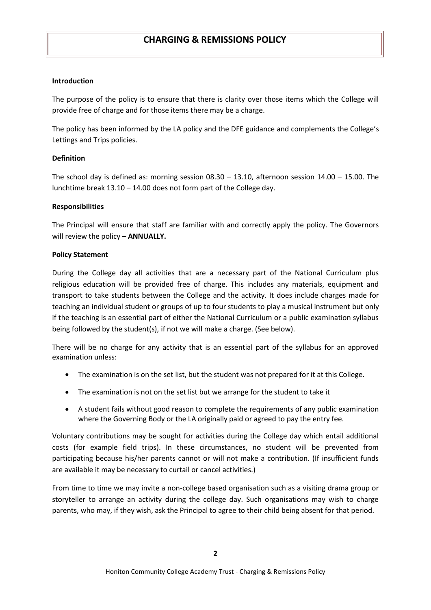### **Introduction**

The purpose of the policy is to ensure that there is clarity over those items which the College will provide free of charge and for those items there may be a charge.

The policy has been informed by the LA policy and the DFE guidance and complements the College's Lettings and Trips policies.

### **Definition**

The school day is defined as: morning session  $08.30 - 13.10$ , afternoon session  $14.00 - 15.00$ . The lunchtime break 13.10 – 14.00 does not form part of the College day.

### **Responsibilities**

The Principal will ensure that staff are familiar with and correctly apply the policy. The Governors will review the policy – **ANNUALLY.**

### **Policy Statement**

During the College day all activities that are a necessary part of the National Curriculum plus religious education will be provided free of charge. This includes any materials, equipment and transport to take students between the College and the activity. It does include charges made for teaching an individual student or groups of up to four students to play a musical instrument but only if the teaching is an essential part of either the National Curriculum or a public examination syllabus being followed by the student(s), if not we will make a charge. (See below).

There will be no charge for any activity that is an essential part of the syllabus for an approved examination unless:

- The examination is on the set list, but the student was not prepared for it at this College.
- The examination is not on the set list but we arrange for the student to take it
- A student fails without good reason to complete the requirements of any public examination where the Governing Body or the LA originally paid or agreed to pay the entry fee.

Voluntary contributions may be sought for activities during the College day which entail additional costs (for example field trips). In these circumstances, no student will be prevented from participating because his/her parents cannot or will not make a contribution. (If insufficient funds are available it may be necessary to curtail or cancel activities.)

From time to time we may invite a non-college based organisation such as a visiting drama group or storyteller to arrange an activity during the college day. Such organisations may wish to charge parents, who may, if they wish, ask the Principal to agree to their child being absent for that period.